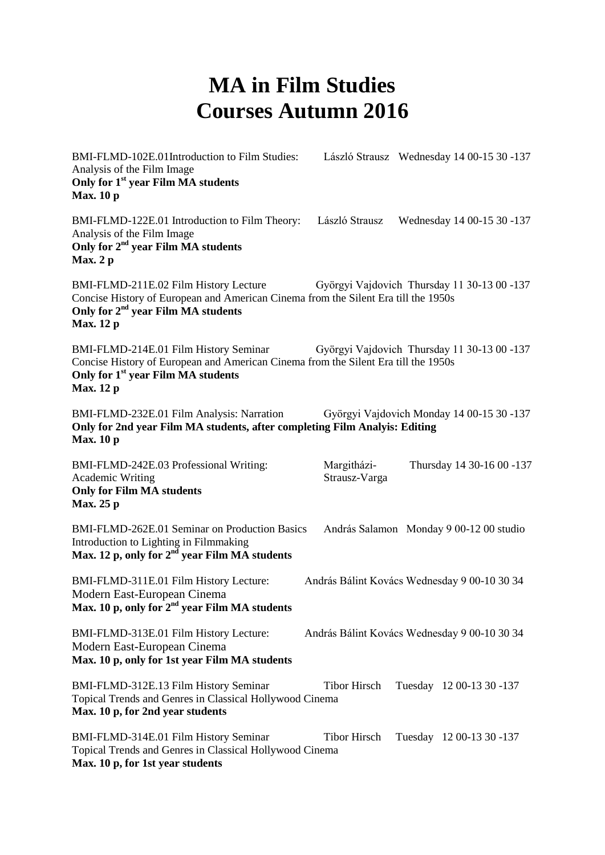## **MA in Film Studies Courses Autumn 2016**

BMI-FLMD-102E.01Introduction to Film Studies: László Strausz Wednesday 14 00-15 30 -137 Analysis of the Film Image **Only for 1st year Film MA students Max. 10 p** BMI-FLMD-122E.01 Introduction to Film Theory: László Strausz Wednesday 14 00-15 30 -137 Analysis of the Film Image **Only for 2 nd year Film MA students Max. 2 p** BMI-FLMD-211E.02 Film History Lecture Györgyi Vajdovich Thursday 11 30-13 00 -137 Concise History of European and American Cinema from the Silent Era till the 1950s **Only for 2nd year Film MA students Max. 12 p** BMI-FLMD-214E.01 Film History Seminar Györgyi Vajdovich Thursday 11 30-13 00 -137 Concise History of European and American Cinema from the Silent Era till the 1950s **Only for 1st year Film MA students Max. 12 p** BMI-FLMD-232E.01 Film Analysis: Narration Györgyi Vajdovich Monday 14 00-15 30 -137 **Only for 2nd year Film MA students, after completing Film Analyis: Editing Max. 10 p** BMI-FLMD-242E.03 Professional Writing: Margitházi- Thursday 14 30-16 00 -137 Academic Writing Strausz-Varga **Only for Film MA students Max. 25 p** BMI-FLMD-262E.01 Seminar on Production Basics András Salamon Monday 9 00-12 00 studio Introduction to Lighting in Filmmaking Max. 12 p, only for 2<sup>nd</sup> year Film MA students BMI-FLMD-311E.01 Film History Lecture: András Bálint Kovács Wednesday 9 00-10 30 34 Modern East-European Cinema **Max. 10 p, only for 2nd year Film MA students** BMI-FLMD-313E.01 Film History Lecture: András Bálint Kovács Wednesday 9 00-10 30 34 Modern East-European Cinema **Max. 10 p, only for 1st year Film MA students** BMI-FLMD-312E.13 Film History Seminar Tibor Hirsch Tuesday 12 00-13 30 -137 Topical Trends and Genres in Classical Hollywood Cinema **Max. 10 p, for 2nd year students** BMI-FLMD-314E.01 Film History Seminar Tibor Hirsch Tuesday 12 00-13 30 -137 Topical Trends and Genres in Classical Hollywood Cinema **Max. 10 p, for 1st year students**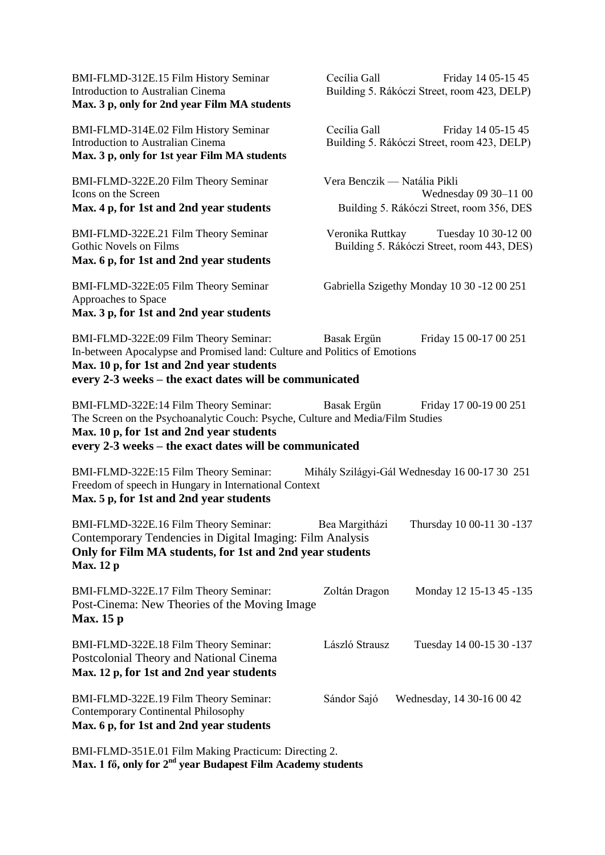| BMI-FLMD-312E.15 Film History Seminar<br><b>Introduction to Australian Cinema</b><br>Max. 3 p, only for 2nd year Film MA students                                                                                             | Cecília Gall<br>Friday 14 05-15 45<br>Building 5. Rákóczi Street, room 423, DELP)                  |
|-------------------------------------------------------------------------------------------------------------------------------------------------------------------------------------------------------------------------------|----------------------------------------------------------------------------------------------------|
| BMI-FLMD-314E.02 Film History Seminar<br>Introduction to Australian Cinema<br>Max. 3 p, only for 1st year Film MA students                                                                                                    | Cecília Gall<br>Friday 14 05-15 45<br>Building 5. Rákóczi Street, room 423, DELP)                  |
| BMI-FLMD-322E.20 Film Theory Seminar<br>Icons on the Screen<br>Max. 4 p, for 1st and 2nd year students                                                                                                                        | Vera Benczik — Natália Pikli<br>Wednesday 09 30-11 00<br>Building 5. Rákóczi Street, room 356, DES |
| BMI-FLMD-322E.21 Film Theory Seminar<br>Gothic Novels on Films<br>Max. 6 p, for 1st and 2nd year students                                                                                                                     | Tuesday 10 30-12 00<br>Veronika Ruttkay<br>Building 5. Rákóczi Street, room 443, DES)              |
| BMI-FLMD-322E:05 Film Theory Seminar<br>Approaches to Space<br>Max. 3 p, for 1st and 2nd year students                                                                                                                        | Gabriella Szigethy Monday 10 30 -12 00 251                                                         |
| BMI-FLMD-322E:09 Film Theory Seminar:<br>In-between Apocalypse and Promised land: Culture and Politics of Emotions<br>Max. 10 p, for 1st and 2nd year students<br>every 2-3 weeks – the exact dates will be communicated      | Friday 15 00-17 00 251<br>Basak Ergün                                                              |
| BMI-FLMD-322E:14 Film Theory Seminar:<br>The Screen on the Psychoanalytic Couch: Psyche, Culture and Media/Film Studies<br>Max. 10 p, for 1st and 2nd year students<br>every 2-3 weeks - the exact dates will be communicated | Basak Ergün<br>Friday 17 00-19 00 251                                                              |
| BMI-FLMD-322E:15 Film Theory Seminar:<br>Freedom of speech in Hungary in International Context<br>Max. 5 p, for 1st and 2nd year students                                                                                     | Mihály Szilágyi-Gál Wednesday 16 00-17 30 251                                                      |
| BMI-FLMD-322E.16 Film Theory Seminar:<br>Contemporary Tendencies in Digital Imaging: Film Analysis<br>Only for Film MA students, for 1st and 2nd year students<br><b>Max.</b> 12 p                                            | Thursday 10 00-11 30 -137<br>Bea Margitházi                                                        |
| BMI-FLMD-322E.17 Film Theory Seminar:<br>Post-Cinema: New Theories of the Moving Image<br><b>Max.</b> 15 p                                                                                                                    | Zoltán Dragon<br>Monday 12 15-13 45 -135                                                           |
| BMI-FLMD-322E.18 Film Theory Seminar:<br>Postcolonial Theory and National Cinema<br>Max. 12 p, for 1st and 2nd year students                                                                                                  | László Strausz<br>Tuesday 14 00-15 30 -137                                                         |
| BMI-FLMD-322E.19 Film Theory Seminar:<br><b>Contemporary Continental Philosophy</b><br>Max. 6 p, for 1st and 2nd year students                                                                                                | Sándor Sajó<br>Wednesday, 14 30-16 00 42                                                           |
|                                                                                                                                                                                                                               |                                                                                                    |

BMI-FLMD-351E.01 Film Making Practicum: Directing 2. Max. 1 fő, only for 2<sup>nd</sup> year Budapest Film Academy students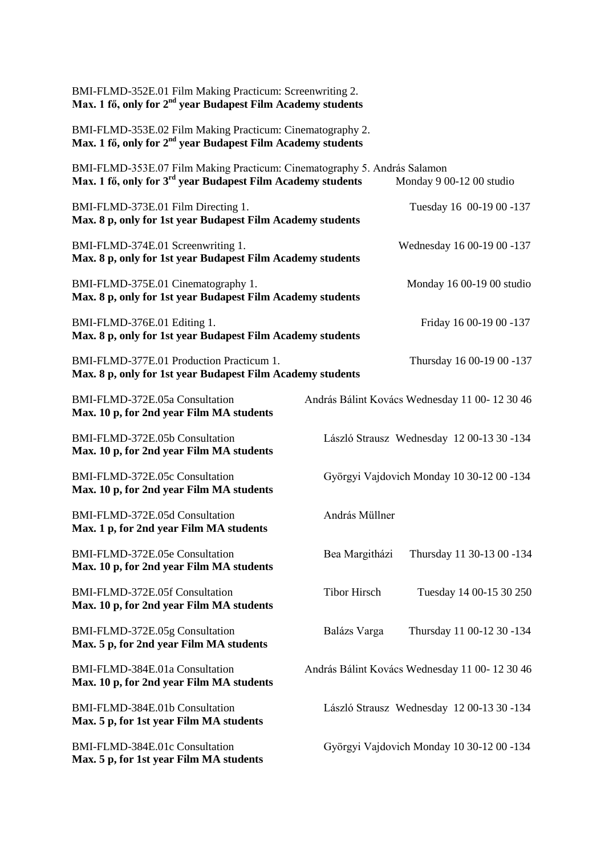| BMI-FLMD-352E.01 Film Making Practicum: Screenwriting 2.<br>Max. 1 fő, only for $2nd$ year Budapest Film Academy students                           |                                           |                                               |  |
|-----------------------------------------------------------------------------------------------------------------------------------------------------|-------------------------------------------|-----------------------------------------------|--|
| BMI-FLMD-353E.02 Film Making Practicum: Cinematography 2.<br>Max. 1 fő, only for 2 <sup>nd</sup> year Budapest Film Academy students                |                                           |                                               |  |
| BMI-FLMD-353E.07 Film Making Practicum: Cinematography 5. András Salamon<br>Max. 1 fő, only for 3 <sup>rd</sup> year Budapest Film Academy students |                                           | Monday 9 00-12 00 studio                      |  |
| BMI-FLMD-373E.01 Film Directing 1.<br>Max. 8 p, only for 1st year Budapest Film Academy students                                                    |                                           | Tuesday 16 00-19 00 -137                      |  |
| BMI-FLMD-374E.01 Screenwriting 1.<br>Max. 8 p, only for 1st year Budapest Film Academy students                                                     |                                           | Wednesday 16 00-19 00 -137                    |  |
| BMI-FLMD-375E.01 Cinematography 1.<br>Max. 8 p, only for 1st year Budapest Film Academy students                                                    |                                           | Monday 16 00-19 00 studio                     |  |
| BMI-FLMD-376E.01 Editing 1.<br>Max. 8 p, only for 1st year Budapest Film Academy students                                                           |                                           | Friday 16 00-19 00 -137                       |  |
| BMI-FLMD-377E.01 Production Practicum 1.<br>Max. 8 p, only for 1st year Budapest Film Academy students                                              |                                           | Thursday 16 00-19 00 -137                     |  |
| BMI-FLMD-372E.05a Consultation<br>Max. 10 p, for 2nd year Film MA students                                                                          |                                           | András Bálint Kovács Wednesday 11 00-12 30 46 |  |
| BMI-FLMD-372E.05b Consultation<br>Max. 10 p, for 2nd year Film MA students                                                                          |                                           | László Strausz Wednesday 12 00-13 30 -134     |  |
| BMI-FLMD-372E.05c Consultation<br>Max. 10 p, for 2nd year Film MA students                                                                          | Györgyi Vajdovich Monday 10 30-12 00 -134 |                                               |  |
| BMI-FLMD-372E.05d Consultation<br>Max. 1 p, for 2nd year Film MA students                                                                           | András Müllner                            |                                               |  |
| BMI-FLMD-372E.05e Consultation<br>Max. 10 p, for 2nd year Film MA students                                                                          | Bea Margitházi                            | Thursday 11 30-13 00 -134                     |  |
| BMI-FLMD-372E.05f Consultation<br>Max. 10 p, for 2nd year Film MA students                                                                          | <b>Tibor Hirsch</b>                       | Tuesday 14 00-15 30 250                       |  |
| BMI-FLMD-372E.05g Consultation<br>Max. 5 p, for 2nd year Film MA students                                                                           | Balázs Varga                              | Thursday 11 00-12 30 -134                     |  |
| BMI-FLMD-384E.01a Consultation<br>Max. 10 p, for 2nd year Film MA students                                                                          |                                           | András Bálint Kovács Wednesday 11 00-12 30 46 |  |
| BMI-FLMD-384E.01b Consultation<br>Max. 5 p, for 1st year Film MA students                                                                           |                                           | László Strausz Wednesday 12 00-13 30 -134     |  |
| BMI-FLMD-384E.01c Consultation<br>Max. 5 p, for 1st year Film MA students                                                                           |                                           | Györgyi Vajdovich Monday 10 30-12 00 -134     |  |